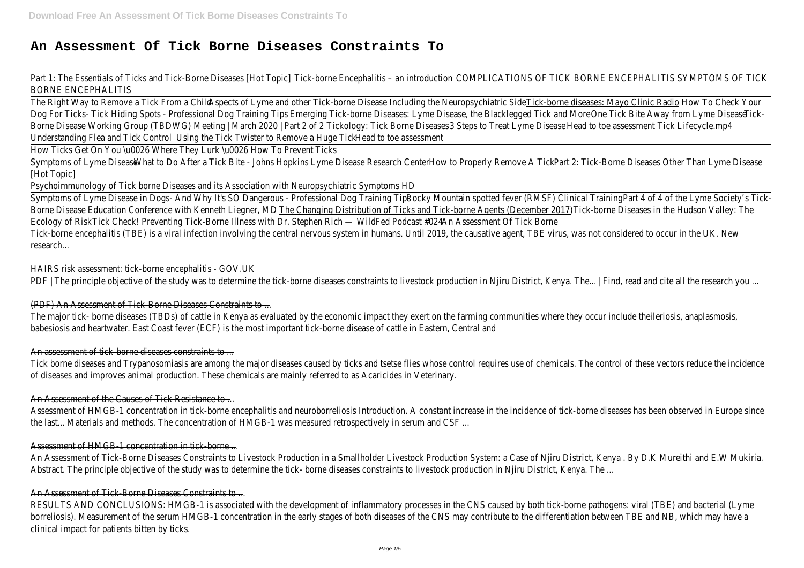# **An Assessment Of Tick Borne Diseases Constraints To**

Part 1: The Essentials of Ticks and Tick-Borne Diseases [Hot Topic] Tick-borne Encephalitis – an introduction COMPLICATIONS OF TICK BORNE ENCEPHALITIS SYMPTOMS OF TIC BORNE ENCEPHALITIS

The Right Way to Remove a Tick From a Child Aspects of Lyme and other Tick-borne Disease Including the Neuropsychiatric Side Tick-borne diseases: Mayo Clinic Radio How To Check Your-Dog For Ticks- Tick Hiding Spots - Professional Dog Training Tips - Emerging Tick-borne Diseases: Lyme Disease, the Blacklegged Tick and More One Tick Bite Away from Lyme Disease Tick-Borne Disease Working Group (TBDWG) Meeting | March 2020 | Part 2 of 2 Tickology: Tick Borne Diseases 3 Steps to Treat Lyme DiseaseHead to toe assessmentTick Lifecycle.mp4 Understanding Flea and Tick Control Using the Tick Twister to Remove a Huge Tick Head to toe assessment

How Ticks Get On You \u0026 Where They Lurk \u0026 How To Prevent Ticks

Symptoms of Lyme DiseaseWhat to Do After a Tick Bite - Johns Hopkins Lyme Disease Research Center How to Properly Remove A Tick Part 2: Tick-Borne Diseases Other Than Lyme Disease [Hot Topic]

Symptoms of Lyme Disease in Dogs- And Why It's SO Dangerous - Professional Dog Training Tips Rocky Mountain spotted fever (RMSF) Clinical Training Part 4 of 4 of the Lyme Society's Tick-Borne Disease Education Conference with Kenneth Liegner, MD The Changing Distribution of Ticks and Tick-borne Agents (December 2017) Tick-borne Diseases in the Hudson Valley: The Ecology of Risk Tick Check! Preventing Tick-Borne Illness with Dr. Stephen Rich — WildFed Podcast #024 An Assessment Of Tick Borne Tick-borne encephalitis (TBE) is a viral infection involving the central nervous system in humans. Until 2019, the causative agent, TBE virus, was not considered to occur in the UK. New research...

Psychoimmunology of Tick borne Diseases and its Association with Neuropsychiatric Symptoms HD

Assessment of HMGB-1 concentration in tick-borne encephalitis and neuroborreliosis Introduction. A constant increase in the incidence of tick-borne diseases has been observed in Europe since the last... Materials and methods. The concentration of HMGB-1 was measured retrospectively in serum and CSF ...

An Assessment of Tick-Borne Diseases Constraints to Livestock Production in a Smallholder Livestock Production System: a Case of Njiru District, Kenya . By D.K Mureithi and E.W Mukiria. Abstract. The principle objective of the study was to determine the tick- borne diseases constraints to livestock production in Njiru District, Kenya. The .

#### HAIRS risk assessment: tick-borne encephalitis - GOV.UK

PDF | The principle objective of the study was to determine the tick-borne diseases constraints to livestock production in Njiru District, Kenya. The... | Find, read and cite all the research you

RESULTS AND CONCLUSIONS: HMGB-1 is associated with the development of inflammatory processes in the CNS caused by both tick-borne pathogens: viral (TBE) and bacterial (Lym borreliosis). Measurement of the serum HMGB-1 concentration in the early stages of both diseases of the CNS may contribute to the differentiation between TBE and NB, which may have clinical impact for patients bitten by ticks.

#### (PDF) An Assessment of Tick-Borne Diseases Constraints to ...

The major tick- borne diseases (TBDs) of cattle in Kenya as evaluated by the economic impact they exert on the farming communities where they occur include theileriosis, anaplasmosis, babesiosis and heartwater. East Coast fever (ECF) is the most important tick-borne disease of cattle in Eastern, Central and

#### An assessment of tick-borne diseases constraints to ...

Tick borne diseases and Trypanosomiasis are among the major diseases caused by ticks and tsetse flies whose control requires use of chemicals. The control of these vectors reduce the incidence of diseases and improves animal production. These chemicals are mainly referred to as Acaricides in Veterinary.

#### An Assessment of the Causes of Tick Resistance to ...

#### Assessment of HMGB-1 concentration in tick-borne ...

#### An Assessment of Tick-Borne Diseases Constraints to ...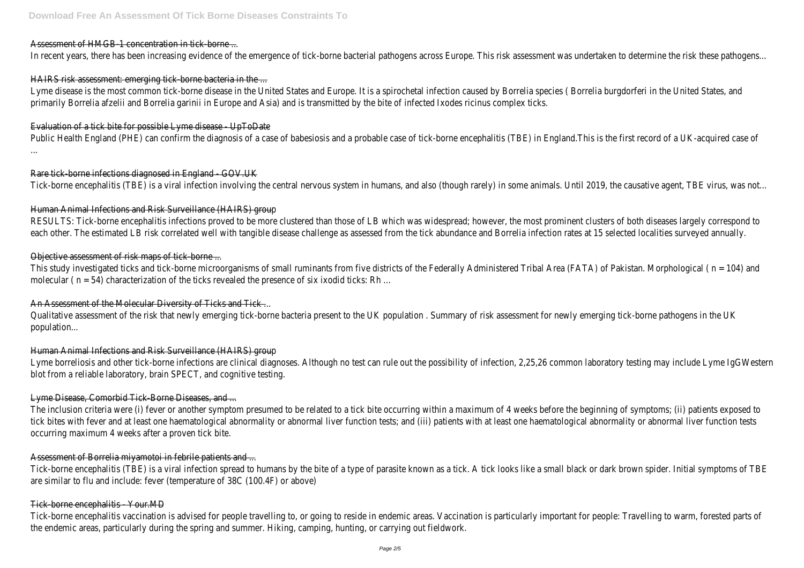### Assessment of HMGB-1 concentration in tick-borne ...

In recent years, there has been increasing evidence of the emergence of tick-borne bacterial pathogens across Europe. This risk assessment was undertaken to determine the risk these pathogens.

# HAIRS risk assessment: emerging tick-borne bacteria in the ...

Lyme disease is the most common tick-borne disease in the United States and Europe. It is a spirochetal infection caused by Borrelia species (Borrelia burgdorferi in the United States, and primarily Borrelia afzelii and Borrelia garinii in Europe and Asia) and is transmitted by the bite of infected Ixodes ricinus complex ticks.

Public Health England (PHE) can confirm the diagnosis of a case of babesiosis and a probable case of tick-borne encephalitis (TBE) in England. This is the first record of a UK-acquired case o ...

# Evaluation of a tick bite for possible Lyme disease - UpToDate

RESULTS: Tick-borne encephalitis infections proved to be more clustered than those of LB which was widespread; however, the most prominent clusters of both diseases largely correspond t each other. The estimated LB risk correlated well with tangible disease challenge as assessed from the tick abundance and Borrelia infection rates at 15 selected localities surveyed annually.

# Rare tick-borne infections diagnosed in England - GOV.UK

This study investigated ticks and tick-borne microorganisms of small ruminants from five districts of the Federally Administered Tribal Area (FATA) of Pakistan. Morphological ( n = 104) and molecular ( n = 54) characterization of the ticks revealed the presence of six ixodid ticks: Rh …

# An Assessment of the Molecular Diversity of Ticks and Tick ...

Tick-borne encephalitis (TBE) is a viral infection involving the central nervous system in humans, and also (though rarely) in some animals. Until 2019, the causative agent, TBE virus, was not...

Qualitative assessment of the risk that newly emerging tick-borne bacteria present to the UK population. Summary of risk assessment for newly emerging tick-borne pathogens in the U population...

# Human Animal Infections and Risk Surveillance (HAIRS) group

Lyme borreliosis and other tick-borne infections are clinical diagnoses. Although no test can rule out the possibility of infection, 2,25,26 common laboratory testing may include Lyme IgGWestern blot from a reliable laboratory, brain SPECT, and cognitive testing.

The inclusion criteria were (i) fever or another symptom presumed to be related to a tick bite occurring within a maximum of 4 weeks before the beginning of symptoms; (ii) patients exposed to tick bites with fever and at least one haematological abnormality or abnormal liver function tests; and (iii) patients with at least one haematological abnormality or abnormal liver function tests occurring maximum 4 weeks after a proven tick bite.

# Objective assessment of risk maps of tick-borne ...

Tick-borne encephalitis (TBE) is a viral infection spread to humans by the bite of a type of parasite known as a tick. A tick looks like a small black or dark brown spider. Initial symptoms of TB are similar to flu and include: fever (temperature of 38C (100.4F) or above)

#### Tick-borne encephalitis - Your.MD-

# Human Animal Infections and Risk Surveillance (HAIRS) group

# Lyme Disease, Comorbid Tick-Borne Diseases, and ...

# Assessment of Borrelia miyamotoi in febrile patients and ...

Tick-borne encephalitis vaccination is advised for people travelling to, or going to reside in endemic areas. Vaccination is particularly important for people: Travelling to warm, forested parts of the endemic areas, particularly during the spring and summer. Hiking, camping, hunting, or carrying out fieldwork.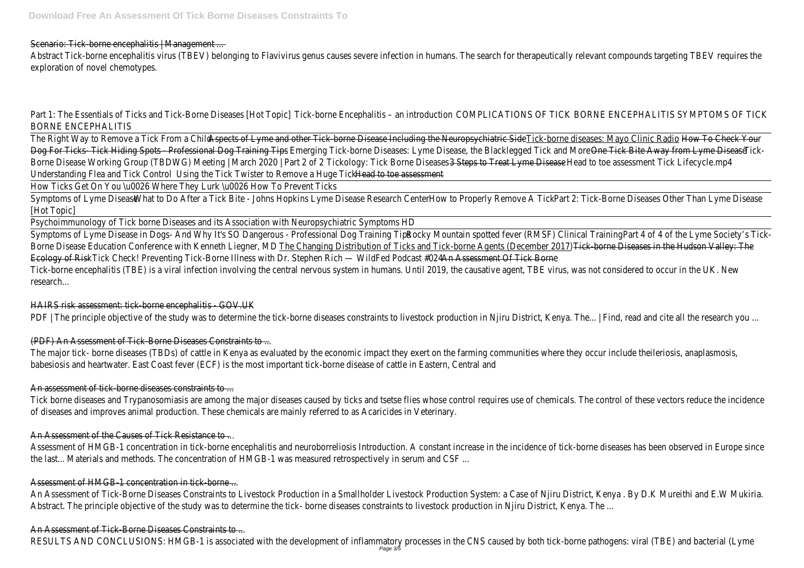Scenario: Tick-borne encephalitis | Management ...

Abstract Tick-borne encephalitis virus (TBEV) belonging to Flavivirus genus causes severe infection in humans. The search for therapeutically relevant compounds targeting TBEV requires the exploration of novel chemotypes.

Part 1: The Essentials of Ticks and Tick-Borne Diseases [Hot Topic] Tick-borne Encephalitis – an introduction COMPLICATIONS OF TICK BORNE ENCEPHALITIS SYMPTOMS OF TIC BORNE ENCEPHALITIS

The Right Way to Remove a Tick From a Child Aspects of Lyme and other Tick-borne Disease Including the Neuropsychiatric Side Tick-borne diseases: Mayo Clinic Radio How To Check Your-Dog For Ticks- Tick Hiding Spots - Professional Dog Training Tips - Emerging Tick-borne Diseases: Lyme Disease, the Blacklegged Tick and More One Tick Bite Away from Lyme Disease Tick-Borne Disease Working Group (TBDWG) Meeting | March 2020 | Part 2 of 2 Tickology: Tick Borne Diseases 3 Steps to Treat Lyme DiseaseHead to toe assessmentTick Lifecycle.mp4 Understanding Flea and Tick Control Using the Tick Twister to Remove a Huge Tick Head to toe assessment

Symptoms of Lyme Disease in Dogs- And Why It's SO Dangerous - Professional Dog Training Tips Rocky Mountain spotted fever (RMSF) Clinical Training Part 4 of 4 of the Lyme Society's Tick-Borne Disease Education Conference with Kenneth Liegner, MD The Changing Distribution of Ticks and Tick-borne Agents (December 2017) Tick-borne Diseases in the Hudson Valley: The Ecology of Risk Tick Check! Preventing Tick-Borne Illness with Dr. Stephen Rich — WildFed Podcast #024 An Assessment Of Tick Borne Tick-borne encephalitis (TBE) is a viral infection involving the central nervous system in humans. Until 2019, the causative agent, TBE virus, was not considered to occur in the UK. New research...

How Ticks Get On You \u0026 Where They Lurk \u0026 How To Prevent Ticks

Symptoms of Lyme DiseaseWhat to Do After a Tick Bite - Johns Hopkins Lyme Disease Research Center How to Properly Remove A Tick Part 2: Tick-Borne Diseases Other Than Lyme Disease [Hot Topic]

The major tick- borne diseases (TBDs) of cattle in Kenya as evaluated by the economic impact they exert on the farming communities where they occur include theileriosis, anaplasmosis, babesiosis and heartwater. East Coast fever (ECF) is the most important tick-borne disease of cattle in Eastern, Central an

Psychoimmunology of Tick borne Diseases and its Association with Neuropsychiatric Symptoms HD

Assessment of HMGB-1 concentration in tick-borne encephalitis and neuroborreliosis Introduction. A constant increase in the incidence of tick-borne diseases has been observed in Europe since the last... Materials and methods. The concentration of HMGB-1 was measured retrospectively in serum and CSF ...

#### HAIRS risk assessment: tick-borne encephalitis - GOV.UK

PDF | The principle objective of the study was to determine the tick-borne diseases constraints to livestock production in Njiru District, Kenya. The... | Find, read and cite all the research you

#### (PDF) An Assessment of Tick-Borne Diseases Constraints to ...

#### An assessment of tick-borne diseases constraints to ...

Tick borne diseases and Trypanosomiasis are among the major diseases caused by ticks and tsetse flies whose control requires use of chemicals. The control of these vectors reduce the incidence of diseases and improves animal production. These chemicals are mainly referred to as Acaricides in Veterinary.

#### An Assessment of the Causes of Tick Resistance to ...

#### Assessment of HMGB-1 concentration in tick-borne ...

An Assessment of Tick-Borne Diseases Constraints to Livestock Production in a Smallholder Livestock Production System: a Case of Njiru District, Kenya . By D.K Mureithi and E.W Mukiria Abstract. The principle objective of the study was to determine the tick- borne diseases constraints to livestock production in Njiru District, Kenya. The .

#### An Assessment of Tick-Borne Diseases Constraints to ...

RESULTS AND CONCLUSIONS: HMGB-1 is associated with the development of inflammatory processes in the CNS caused by both tick-borne pathogens: viral (TBE) and bacterial (Lyme Page 3/5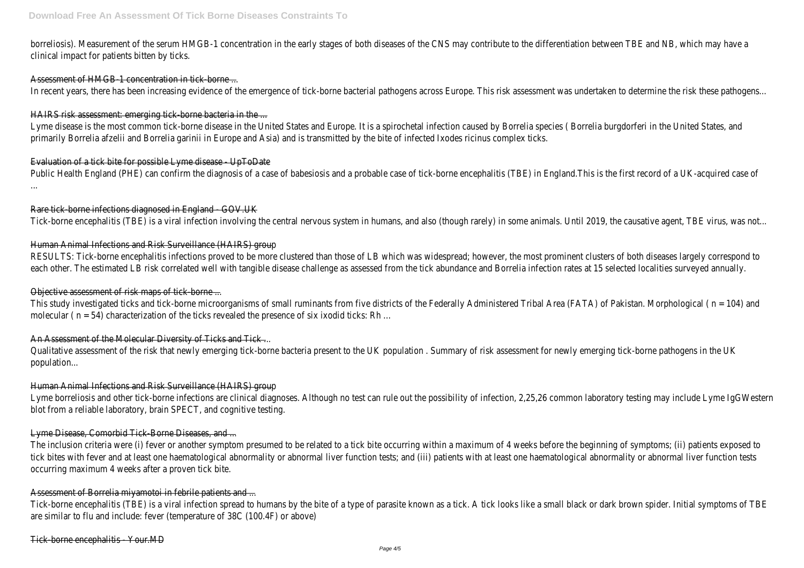borreliosis). Measurement of the serum HMGB-1 concentration in the early stages of both diseases of the CNS may contribute to the differentiation between TBE and NB, which may have clinical impact for patients bitten by ticks.

#### Assessment of HMGB-1 concentration in tick-borne ...

In recent years, there has been increasing evidence of the emergence of tick-borne bacterial pathogens across Europe. This risk assessment was undertaken to determine the risk these pathogens.

Lyme disease is the most common tick-borne disease in the United States and Europe. It is a spirochetal infection caused by Borrelia species (Borrelia burgdorferi in the United States, and primarily Borrelia afzelii and Borrelia garinii in Europe and Asia) and is transmitted by the bite of infected Ixodes ricinus complex ticks.

#### HAIRS risk assessment: emerging tick-borne bacteria in the ...

Public Health England (PHE) can confirm the diagnosis of a case of babesiosis and a probable case of tick-borne encephalitis (TBE) in England. This is the first record of a UK-acquired case o ...

RESULTS: Tick-borne encephalitis infections proved to be more clustered than those of LB which was widespread; however, the most prominent clusters of both diseases largely correspond t each other. The estimated LB risk correlated well with tangible disease challenge as assessed from the tick abundance and Borrelia infection rates at 15 selected localities surveyed annually.

#### Evaluation of a tick bite for possible Lyme disease - UpToDate

This study investigated ticks and tick-borne microorganisms of small ruminants from five districts of the Federally Administered Tribal Area (FATA) of Pakistan. Morphological ( n = 104) and molecular ( n = 54) characterization of the ticks revealed the presence of six ixodid ticks: Rh …

#### An Assessment of the Molecular Diversity of Ticks and Tick ...

#### Rare tick-borne infections diagnosed in England - GOV.UK

Qualitative assessment of the risk that newly emerging tick-borne bacteria present to the UK population. Summary of risk assessment for newly emerging tick-borne pathogens in the U population...

Tick-borne encephalitis (TBE) is a viral infection involving the central nervous system in humans, and also (though rarely) in some animals. Until 2019, the causative agent, TBE virus, was not...

Lyme borreliosis and other tick-borne infections are clinical diagnoses. Although no test can rule out the possibility of infection, 2,25,26 common laboratory testing may include Lyme IgGWestern blot from a reliable laboratory, brain SPECT, and cognitive testing.

#### Human Animal Infections and Risk Surveillance (HAIRS) group

The inclusion criteria were (i) fever or another symptom presumed to be related to a tick bite occurring within a maximum of 4 weeks before the beginning of symptoms; (ii) patients exposed t tick bites with fever and at least one haematological abnormality or abnormal liver function tests; and (iii) patients with at least one haematological abnormality or abnormal liver function tests occurring maximum 4 weeks after a proven tick bite.

Tick-borne encephalitis (TBE) is a viral infection spread to humans by the bite of a type of parasite known as a tick. A tick looks like a small black or dark brown spider. Initial symptoms of TB are similar to flu and include: fever (temperature of 38C (100.4F) or above)

#### Objective assessment of risk maps of tick-borne ...

#### Human Animal Infections and Risk Surveillance (HAIRS) group

#### Lyme Disease, Comorbid Tick-Borne Diseases, and ...

#### Assessment of Borrelia miyamotoi in febrile patients and ...

#### Tick-borne encephalitis - Your.MD